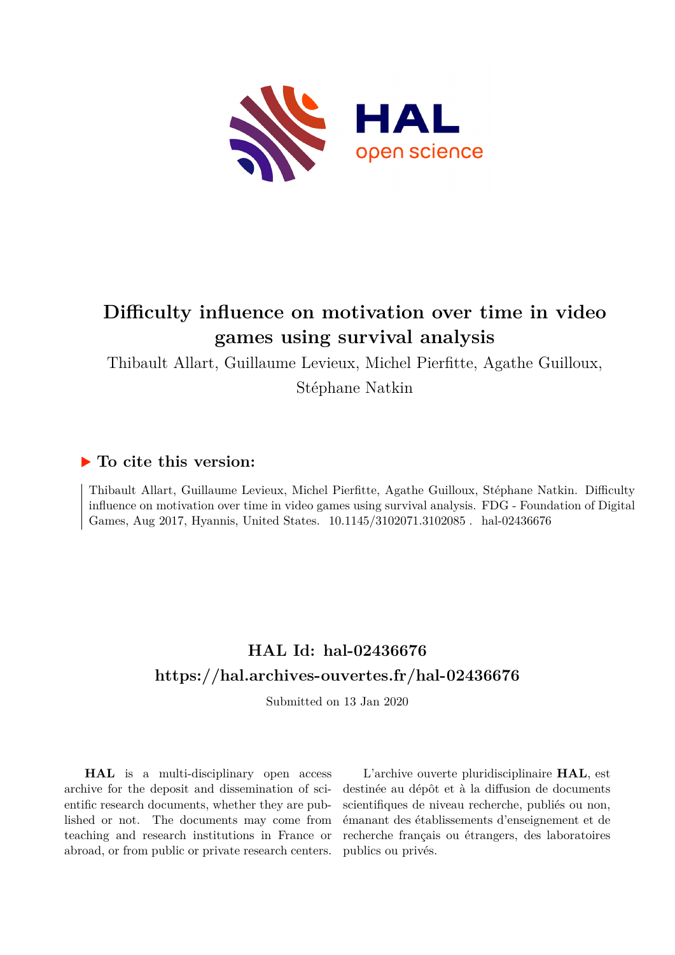

# **Difficulty influence on motivation over time in video games using survival analysis**

Thibault Allart, Guillaume Levieux, Michel Pierfitte, Agathe Guilloux,

Stéphane Natkin

## **To cite this version:**

Thibault Allart, Guillaume Levieux, Michel Pierfitte, Agathe Guilloux, Stéphane Natkin. Difficulty influence on motivation over time in video games using survival analysis. FDG - Foundation of Digital Games, Aug 2017, Hyannis, United States. 10.1145/3102071.3102085. hal-02436676

## **HAL Id: hal-02436676 <https://hal.archives-ouvertes.fr/hal-02436676>**

Submitted on 13 Jan 2020

**HAL** is a multi-disciplinary open access archive for the deposit and dissemination of scientific research documents, whether they are published or not. The documents may come from teaching and research institutions in France or abroad, or from public or private research centers.

L'archive ouverte pluridisciplinaire **HAL**, est destinée au dépôt et à la diffusion de documents scientifiques de niveau recherche, publiés ou non, émanant des établissements d'enseignement et de recherche français ou étrangers, des laboratoires publics ou privés.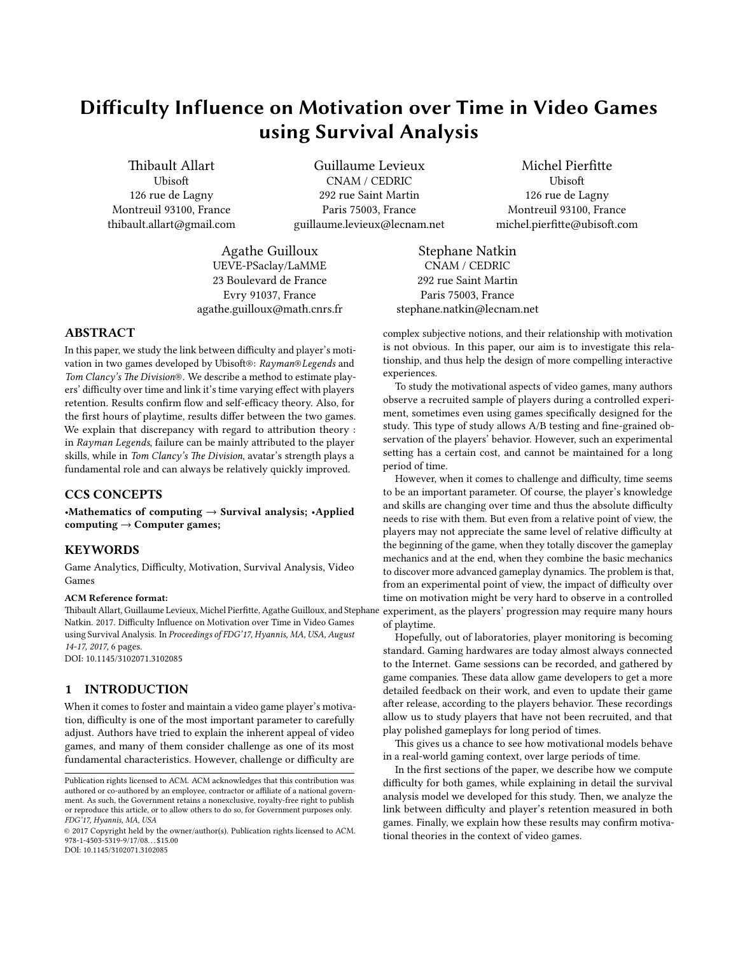## Difficulty Influence on Motivation over Time in Video Games using Survival Analysis

Thibault Allart **U**bisoft 126 rue de Lagny Montreuil 93100, France thibault.allart@gmail.com

Guillaume Levieux CNAM / CEDRIC 292 rue Saint Martin Paris 75003, France guillaume.levieux@lecnam.net

Michel Pierfitte **U**bisoft 126 rue de Lagny Montreuil 93100, France michel.pierfitte@ubisoft.com

Agathe Guilloux UEVE-PSaclay/LaMME 23 Boulevard de France Evry 91037, France agathe.guilloux@math.cnrs.fr

## ABSTRACT

In this paper, we study the link between difficulty and player's motivation in two games developed by Ubisoft®: Rayman®Legends and Tom Clancy's The Division®. We describe a method to estimate players' difficulty over time and link it's time varying effect with players retention. Results confirm flow and self-efficacy theory. Also, for the first hours of playtime, results differ between the two games. We explain that discrepancy with regard to attribution theory : in Rayman Legends, failure can be mainly attributed to the player skills, while in Tom Clancy's The Division, avatar's strength plays a fundamental role and can always be relatively quickly improved.

## CCS CONCEPTS

•Mathematics of computing  $\rightarrow$  Survival analysis; •Applied  $computing \rightarrow Computer games;$ 

## KEYWORDS

Game Analytics, Difficulty, Motivation, Survival Analysis, Video Games

#### ACM Reference format:

Thibault Allart, Guillaume Levieux, Michel Pierfitte, Agathe Guilloux, and Stephane Natkin. 2017. Difficulty Influence on Motivation over Time in Video Games using Survival Analysis. In Proceedings of FDG'17, Hyannis, MA, USA, August 14-17, 2017, 6 pages. DOI: 10.1145/3102071.3102085

## 1 INTRODUCTION

When it comes to foster and maintain a video game player's motivation, difficulty is one of the most important parameter to carefully adjust. Authors have tried to explain the inherent appeal of video games, and many of them consider challenge as one of its most fundamental characteristics. However, challenge or difficulty are

DOI: 10.1145/3102071.3102085

Stephane Natkin CNAM / CEDRIC 292 rue Saint Martin Paris 75003, France stephane.natkin@lecnam.net

complex subjective notions, and their relationship with motivation is not obvious. In this paper, our aim is to investigate this relationship, and thus help the design of more compelling interactive experiences.

To study the motivational aspects of video games, many authors observe a recruited sample of players during a controlled experiment, sometimes even using games specifically designed for the study. This type of study allows A/B testing and fine-grained observation of the players' behavior. However, such an experimental setting has a certain cost, and cannot be maintained for a long period of time.

However, when it comes to challenge and difficulty, time seems to be an important parameter. Of course, the player's knowledge and skills are changing over time and thus the absolute difficulty needs to rise with them. But even from a relative point of view, the players may not appreciate the same level of relative difficulty at the beginning of the game, when they totally discover the gameplay mechanics and at the end, when they combine the basic mechanics to discover more advanced gameplay dynamics. The problem is that, from an experimental point of view, the impact of difficulty over time on motivation might be very hard to observe in a controlled experiment, as the players' progression may require many hours of playtime.

Hopefully, out of laboratories, player monitoring is becoming standard. Gaming hardwares are today almost always connected to the Internet. Game sessions can be recorded, and gathered by game companies. These data allow game developers to get a more detailed feedback on their work, and even to update their game after release, according to the players behavior. These recordings allow us to study players that have not been recruited, and that play polished gameplays for long period of times.

This gives us a chance to see how motivational models behave in a real-world gaming context, over large periods of time.

In the first sections of the paper, we describe how we compute difficulty for both games, while explaining in detail the survival analysis model we developed for this study. Then, we analyze the link between difficulty and player's retention measured in both games. Finally, we explain how these results may confirm motivational theories in the context of video games.

Publication rights licensed to ACM. ACM acknowledges that this contribution was authored or co-authored by an employee, contractor or affiliate of a national government. As such, the Government retains a nonexclusive, royalty-free right to publish or reproduce this article, or to allow others to do so, for Government purposes only. FDG'17, Hyannis, MA, USA

<sup>©</sup> 2017 Copyright held by the owner/author(s). Publication rights licensed to ACM. 978-1-4503-5319-9/17/08. . . \$15.00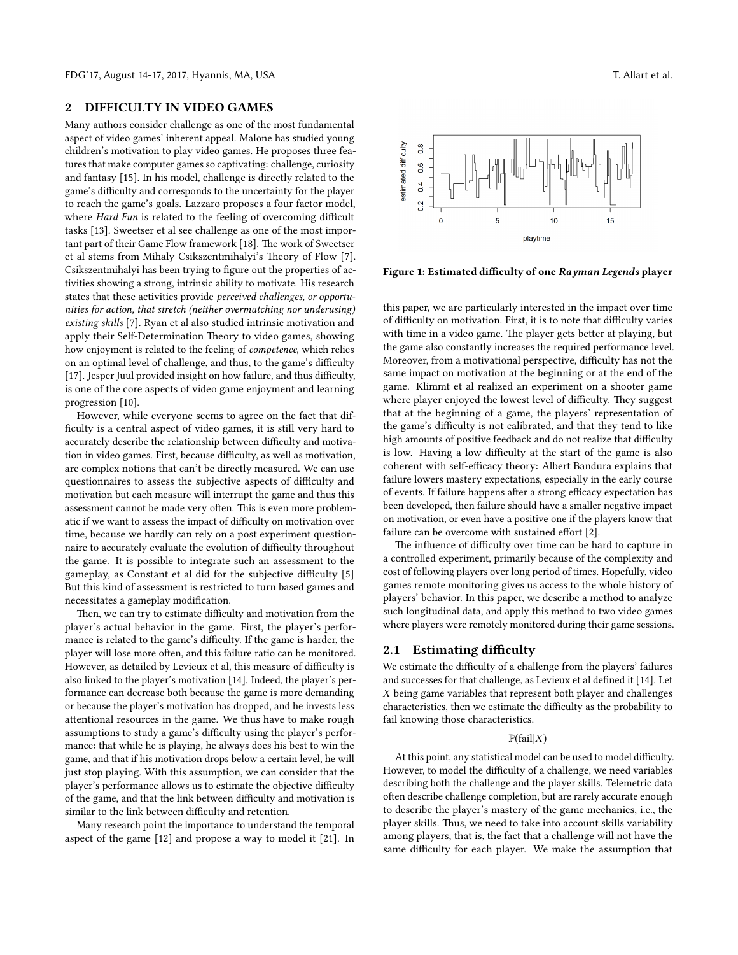#### 2 DIFFICULTY IN VIDEO GAMES

Many authors consider challenge as one of the most fundamental aspect of video games' inherent appeal. Malone has studied young children's motivation to play video games. He proposes three features that make computer games so captivating: challenge, curiosity and fantasy [15]. In his model, challenge is directly related to the game's difficulty and corresponds to the uncertainty for the player to reach the game's goals. Lazzaro proposes a four factor model, where Hard Fun is related to the feeling of overcoming difficult tasks [13]. Sweetser et al see challenge as one of the most important part of their Game Flow framework [18]. The work of Sweetser et al stems from Mihaly Csikszentmihalyi's Theory of Flow [7]. Csikszentmihalyi has been trying to figure out the properties of activities showing a strong, intrinsic ability to motivate. His research states that these activities provide perceived challenges, or opportunities for action, that stretch (neither overmatching nor underusing) existing skills [7]. Ryan et al also studied intrinsic motivation and apply their Self-Determination Theory to video games, showing how enjoyment is related to the feeling of competence, which relies on an optimal level of challenge, and thus, to the game's difficulty [17]. Jesper Juul provided insight on how failure, and thus difficulty, is one of the core aspects of video game enjoyment and learning progression [10].

However, while everyone seems to agree on the fact that dif ficulty is a central aspect of video games, it is still very hard to accurately describe the relationship between difficulty and motivation in video games. First, because difficulty, as well as motivation, are complex notions that can't be directly measured. We can use questionnaires to assess the subjective aspects of difficulty and motivation but each measure will interrupt the game and thus this assessment cannot be made very often. This is even more problematic if we want to assess the impact of difficulty on motivation over time, because we hardly can rely on a post experiment questionnaire to accurately evaluate the evolution of difficulty throughout the game. It is possible to integrate such an assessment to the gameplay, as Constant et al did for the subjective difficulty [5] But this kind of assessment is restricted to turn based games and necessitates a gameplay modification.

Then, we can try to estimate difficulty and motivation from the player's actual behavior in the game. First, the player's performance is related to the game's difficulty. If the game is harder, the player will lose more often, and this failure ratio can be monitored. However, as detailed by Levieux et al, this measure of difficulty is also linked to the player's motivation [14]. Indeed, the player's performance can decrease both because the game is more demanding or because the player's motivation has dropped, and he invests less attentional resources in the game. We thus have to make rough assumptions to study a game's difficulty using the player's performance: that while he is playing, he always does his best to win the game, and that if his motivation drops below a certain level, he will just stop playing. With this assumption, we can consider that the player's performance allows us to estimate the objective difficulty of the game, and that the link between difficulty and motivation is similar to the link between difficulty and retention.

Many research point the importance to understand the temporal aspect of the game [12] and propose a way to model it [21]. In



Figure 1: Estimated difficulty of one Rayman Legends player

this paper, we are particularly interested in the impact over time of difficulty on motivation. First, it is to note that difficulty varies with time in a video game. The player gets better at playing, but the game also constantly increases the required performance level. Moreover, from a motivational perspective, difficulty has not the same impact on motivation at the beginning or at the end of the game. Klimmt et al realized an experiment on a shooter game where player enjoyed the lowest level of difficulty. They suggest that at the beginning of a game, the players' representation of the game's difficulty is not calibrated, and that they tend to like high amounts of positive feedback and do not realize that difficulty is low. Having a low difficulty at the start of the game is also coherent with self-efficacy theory: Albert Bandura explains that failure lowers mastery expectations, especially in the early course of events. If failure happens after a strong efficacy expectation has been developed, then failure should have a smaller negative impact on motivation, or even have a positive one if the players know that failure can be overcome with sustained effort  $[2]$ .

The influence of difficulty over time can be hard to capture in a controlled experiment, primarily because of the complexity and cost of following players over long period of times. Hopefully, video games remote monitoring gives us access to the whole history of players' behavior. In this paper, we describe a method to analyze such longitudinal data, and apply this method to two video games where players were remotely monitored during their game sessions.

## 2.1 Estimating difficulty

We estimate the difficulty of a challenge from the players' failures and successes for that challenge, as Levieux et al defined it [14]. Let X being game variables that represent both player and challenges characteristics, then we estimate the difficulty as the probability to fail knowing those characteristics.

#### $\mathbb{P}(\text{fail}|X)$

At this point, any statistical model can be used to model difficulty. However, to model the difficulty of a challenge, we need variables describing both the challenge and the player skills. Telemetric data often describe challenge completion, but are rarely accurate enough to describe the player's mastery of the game mechanics, i.e., the player skills. Thus, we need to take into account skills variability among players, that is, the fact that a challenge will not have the same difficulty for each player. We make the assumption that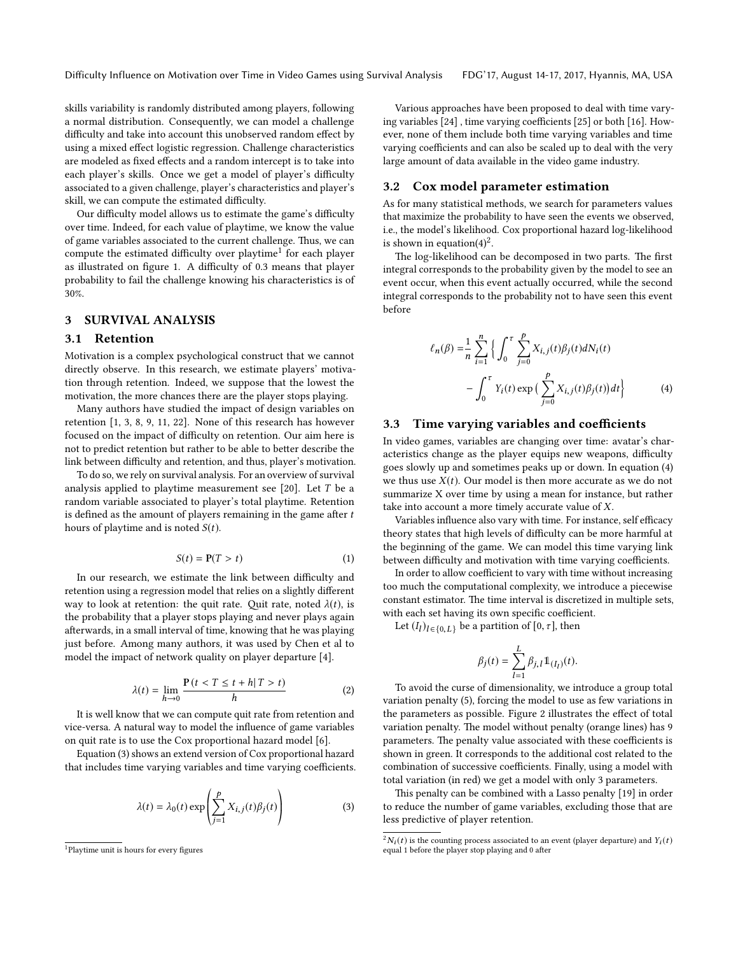Difficulty Influence on Motivation over Time in Video Games using Survival Analysis FDG'17, August 14-17, 2017, Hyannis, MA, USA

skills variability is randomly distributed among players, following a normal distribution. Consequently, we can model a challenge difficulty and take into account this unobserved random effect by using a mixed effect logistic regression. Challenge characteristics are modeled as fixed effects and a random intercept is to take into each player's skills. Once we get a model of player's difficulty associated to a given challenge, player's characteristics and player's skill, we can compute the estimated difficulty.

Our difficulty model allows us to estimate the game's difficulty over time. Indeed, for each value of playtime, we know the value of game variables associated to the current challenge. Thus, we can compute the estimated difficulty over playtime<sup>1</sup> for each player as illustrated on figure 1. A difficulty of 0.3 means that player probability to fail the challenge knowing his characteristics is of 30%.

## 3 SURVIVAL ANALYSIS

## 3.1 Retention

Motivation is a complex psychological construct that we cannot directly observe. In this research, we estimate players' motivation through retention. Indeed, we suppose that the lowest the motivation, the more chances there are the player stops playing.

Many authors have studied the impact of design variables on retention [1, 3, 8, 9, 11, 22]. None of this research has however focused on the impact of difficulty on retention. Our aim here is not to predict retention but rather to be able to better describe the link between difficulty and retention, and thus, player's motivation.

To do so, we rely on survival analysis. For an overview of survival analysis applied to playtime measurement see  $[20]$ . Let T be a random variable associated to player's total playtime. Retention is defined as the amount of players remaining in the game after  $t$ hours of playtime and is noted  $S(t)$ .

$$
S(t) = \mathbf{P}(T > t)
$$
 (1)

In our research, we estimate the link between difficulty and retention using a regression model that relies on a slightly different way to look at retention: the quit rate. Quit rate, noted  $\lambda(t)$ , is the probability that a player stops playing and never plays again afterwards, in a small interval of time, knowing that he was playing just before. Among many authors, it was used by Chen et al to model the impact of network quality on player departure [4].

$$
\lambda(t) = \lim_{h \to 0} \frac{\mathbf{P}(t < T \le t + h | T > t)}{h} \tag{2}
$$

 $h\rightarrow 0$  h<br>It is well know that we can compute quit rate from retention and vice-versa. A natural way to model the influence of game variables on quit rate is to use the Cox proportional hazard model [6].

Equation (3) shows an extend version of Cox proportional hazard that includes time varying variables and time varying coefficients.

$$
\lambda(t) = \lambda_0(t) \exp\left(\sum_{j=1}^p X_{i,j}(t)\beta_j(t)\right) \tag{3}
$$

Various approaches have been proposed to deal with time varying variables  $[24]$ , time varying coefficients  $[25]$  or both  $[16]$ . However, none of them include both time varying variables and time varying coefficients and can also be scaled up to deal with the very large amount of data available in the video game industry.

#### 3.2 Cox model parameter estimation

As for many statistical methods, we search for parameters values that maximize the probability to have seen the events we observed, i.e., the model's likelihood. Cox proportional hazard log-likelihood is shown in equation(4)<sup>2</sup>.

The log-likelihood can be decomposed in two parts. The first integral corresponds to the probability given by the model to see an event occur, when this event actually occurred, while the second integral corresponds to the probability not to have seen this event before

$$
\ell_n(\beta) = \frac{1}{n} \sum_{i=1}^n \Big\{ \int_0^{\tau} \sum_{j=0}^p X_{i,j}(t) \beta_j(t) dN_i(t) - \int_0^{\tau} Y_i(t) \exp \Big( \sum_{j=0}^p X_{i,j}(t) \beta_j(t) \Big) dt \Big\}
$$
(4)

## 3.3 Time varying variables and coefficients

In video games, variables are changing over time: avatar's characteristics change as the player equips new weapons, difficulty goes slowly up and sometimes peaks up or down. In equation (4) we thus use  $X(t)$ . Our model is then more accurate as we do not summarize X over time by using a mean for instance, but rather take into account a more timely accurate value of X.

Variables influence also vary with time. For instance, self efficacy theory states that high levels of difficulty can be more harmful at the beginning of the game. We can model this time varying link between difficulty and motivation with time varying coefficients.

In order to allow coefficient to vary with time without increasing too much the computational complexity, we introduce a piecewise constant estimator. The time interval is discretized in multiple sets, with each set having its own specific coefficient.

Let  $(I_l)_{l \in \{0, L\}}$  be a partition of  $[0, \tau]$ , then

$$
\beta_j(t)=\sum_{l=1}^L \beta_{j,l}1\!\!1_{(I_l)}(t).
$$

 $l=1$ <br>To avoid the curse of dimensionality, we introduce a group total variation penalty (5), forcing the model to use as few variations in the parameters as possible. Figure 2 illustrates the effect of total variation penalty. The model without penalty (orange lines) has 9 parameters. The penalty value associated with these coefficients is shown in green. It corresponds to the additional cost related to the combination of successive coefficients. Finally, using a model with total variation (in red) we get a model with only 3 parameters.

This penalty can be combined with a Lasso penalty [19] in order to reduce the number of game variables, excluding those that are less predictive of player retention.

<sup>&</sup>lt;sup>1</sup>Playtime unit is hours for every figures

 ${}^{2}N_{i}(t)$  is the counting process associated to an event (player departure) and  $Y_{i}(t)$ <br>equal 1 before the player stop playing and 0 after equal 1 before the player stop playing and 0 after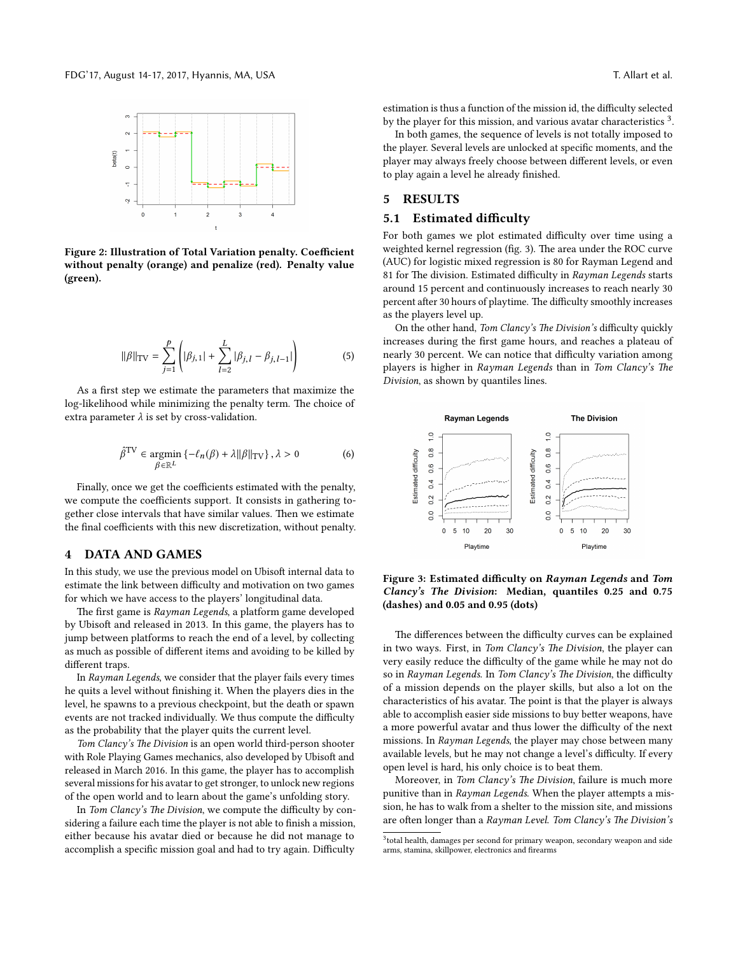

Figure 2: Illustration of Total Variation penalty. Coefficient without penalty (orange) and penalize (red). Penalty value (green).

$$
\|\beta\|_{\text{TV}} = \sum_{j=1}^{p} \left( |\beta_{j,1}| + \sum_{l=2}^{L} |\beta_{j,l} - \beta_{j,l-1}| \right) \tag{5}
$$

As a first step we estimate the parameters that maximize the log-likelihood while minimizing the penalty term. The choice of extra parameter  $\lambda$  is set by cross-validation.

$$
\hat{\beta}^{\text{TV}} \in \underset{\beta \in \mathbb{R}^L}{\text{argmin}} \left\{ -\ell_n(\beta) + \lambda ||\beta||_{\text{TV}} \right\}, \lambda > 0 \tag{6}
$$

Finally, once we get the coefficients estimated with the penalty, we compute the coefficients support. It consists in gathering together close intervals that have similar values. Then we estimate the final coefficients with this new discretization, without penalty.

#### 4 DATA AND GAMES

In this study, we use the previous model on Ubisoft internal data to estimate the link between difficulty and motivation on two games for which we have access to the players' longitudinal data.

The first game is Rayman Legends, a platform game developed by Ubisoft and released in 2013. In this game, the players has to jump between platforms to reach the end of a level, by collecting as much as possible of different items and avoiding to be killed by different traps.

In Rayman Legends, we consider that the player fails every times he quits a level without finishing it. When the players dies in the level, he spawns to a previous checkpoint, but the death or spawn events are not tracked individually. We thus compute the difficulty as the probability that the player quits the current level.

Tom Clancy's The Division is an open world third-person shooter with Role Playing Games mechanics, also developed by Ubisoft and released in March 2016. In this game, the player has to accomplish several missions for his avatar to get stronger, to unlock new regions of the open world and to learn about the game's unfolding story.

In Tom Clancy's The Division, we compute the difficulty by considering a failure each time the player is not able to finish a mission, either because his avatar died or because he did not manage to accomplish a specific mission goal and had to try again. Difficulty

estimation is thus a function of the mission id, the difficulty selected by the player for this mission, and various avatar characteristics<sup>3</sup>.

In both games, the sequence of levels is not totally imposed to the player. Several levels are unlocked at specific moments, and the player may always freely choose between different levels, or even to play again a level he already finished.

## 5 RESULTS

### 5.1 Estimated difficulty

For both games we plot estimated difficulty over time using a weighted kernel regression (fig. 3). The area under the ROC curve (AUC) for logistic mixed regression is 80 for Rayman Legend and 81 for The division. Estimated difficulty in Rayman Legends starts around 15 percent and continuously increases to reach nearly 30 percent after 30 hours of playtime. The difficulty smoothly increases as the players level up.

On the other hand, Tom Clancy's The Division's difficulty quickly increases during the first game hours, and reaches a plateau of nearly 30 percent. We can notice that difficulty variation among players is higher in Rayman Legends than in Tom Clancy's The Division, as shown by quantiles lines.



Figure 3: Estimated difficulty on Rayman Legends and Tom Clancy's The Division: Median, quantiles 0.25 and 0.75 (dashes) and 0.05 and 0.95 (dots)

The differences between the difficulty curves can be explained in two ways. First, in Tom Clancy's The Division, the player can very easily reduce the difficulty of the game while he may not do so in Rayman Legends. In Tom Clancy's The Division, the difficulty of a mission depends on the player skills, but also a lot on the characteristics of his avatar. The point is that the player is always able to accomplish easier side missions to buy better weapons, have a more powerful avatar and thus lower the difficulty of the next missions. In Rayman Legends, the player may chose between many available levels, but he may not change a level's difficulty. If every open level is hard, his only choice is to beat them.

Moreover, in Tom Clancy's The Division, failure is much more punitive than in Rayman Legends. When the player attempts a mission, he has to walk from a shelter to the mission site, and missions are often longer than a Rayman Level. Tom Clancy's The Division's

<sup>&</sup>lt;sup>3</sup> total health, damages per second for primary weapon, secondary weapon and side arms, stamina, skillpower, electronics and firearms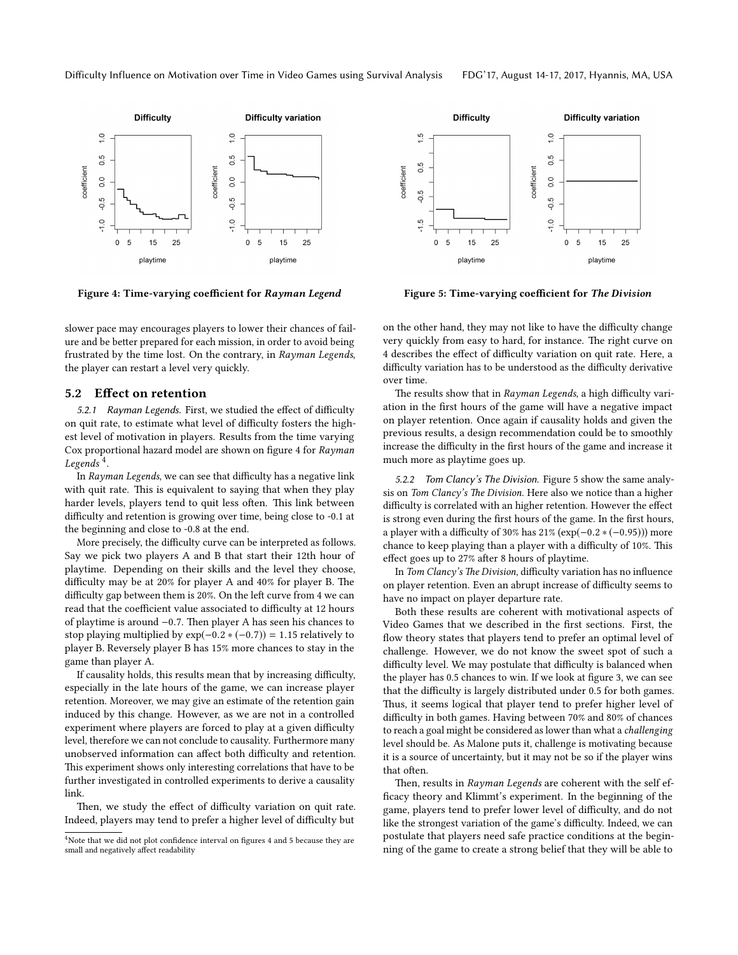

Figure 4: Time-varying coefficient for Rayman Legend

slower pace may encourages players to lower their chances of failure and be better prepared for each mission, in order to avoid being frustrated by the time lost. On the contrary, in Rayman Legends, the player can restart a level very quickly.

## 5.2 Effect on retention

5.2.1 Rayman Legends. First, we studied the effect of difficulty on quit rate, to estimate what level of difficulty fosters the highest level of motivation in players. Results from the time varying Cox proportional hazard model are shown on figure 4 for Rayman Legends  $^4$ .

In Rayman Legends, we can see that difficulty has a negative link with quit rate. This is equivalent to saying that when they play harder levels, players tend to quit less often. This link between difficulty and retention is growing over time, being close to -0.1 at the beginning and close to -0.8 at the end.

More precisely, the difficulty curve can be interpreted as follows. Say we pick two players A and B that start their 12th hour of playtime. Depending on their skills and the level they choose, difficulty may be at  $20\%$  for player A and  $40\%$  for player B. The difficulty gap between them is 20%. On the left curve from 4 we can read that the coefficient value associated to difficulty at 12 hours of playtime is around −0.7. Then player A has seen his chances to stop playing multiplied by  $exp(-0.2*(-0.7)) = 1.15$  relatively to player B. Reversely player B has 15% more chances to stay in the game than player A.

If causality holds, this results mean that by increasing difficulty, especially in the late hours of the game, we can increase player retention. Moreover, we may give an estimate of the retention gain induced by this change. However, as we are not in a controlled experiment where players are forced to play at a given difficulty level, therefore we can not conclude to causality. Furthermore many unobserved information can affect both difficulty and retention. This experiment shows only interesting correlations that have to be further investigated in controlled experiments to derive a causality link.

Then, we study the effect of difficulty variation on quit rate. Indeed, players may tend to prefer a higher level of difficulty but



Figure 5: Time-varying coefficient for The Division

on the other hand, they may not like to have the difficulty change very quickly from easy to hard, for instance. The right curve on 4 describes the effect of difficulty variation on quit rate. Here, a difficulty variation has to be understood as the difficulty derivative over time.

The results show that in Rayman Legends, a high difficulty variation in the first hours of the game will have a negative impact on player retention. Once again if causality holds and given the previous results, a design recommendation could be to smoothly increase the difficulty in the first hours of the game and increase it much more as playtime goes up.

5.2.2 Tom Clancy's The Division. Figure 5 show the same analysis on Tom Clancy's The Division. Here also we notice than a higher difficulty is correlated with an higher retention. However the effect is strong even during the first hours of the game. In the first hours, a player with a difficulty of 30% has  $21\%$  (exp( $-0.2*(-0.95)$ )) more chance to keep playing than a player with a difficulty of 10%. This effect goes up to 27% after 8 hours of playtime.

In Tom Clancy's The Division, difficulty variation has no influence on player retention. Even an abrupt increase of difficulty seems to have no impact on player departure rate.

Both these results are coherent with motivational aspects of Video Games that we described in the first sections. First, the flow theory states that players tend to prefer an optimal level of challenge. However, we do not know the sweet spot of such a difficulty level. We may postulate that difficulty is balanced when the player has 0.5 chances to win. If we look at figure 3, we can see that the difficulty is largely distributed under 0.5 for both games. Thus, it seems logical that player tend to prefer higher level of difficulty in both games. Having between 70% and 80% of chances to reach a goal might be considered as lower than what a challenging level should be. As Malone puts it, challenge is motivating because it is a source of uncertainty, but it may not be so if the player wins that often.

Then, results in Rayman Legends are coherent with the self efficacy theory and Klimmt's experiment. In the beginning of the game, players tend to prefer lower level of difficulty, and do not like the strongest variation of the game's difficulty. Indeed, we can postulate that players need safe practice conditions at the beginning of the game to create a strong belief that they will be able to

<sup>&</sup>lt;sup>4</sup>Note that we did not plot confidence interval on figures 4 and 5 because they are small and negatively affect readability